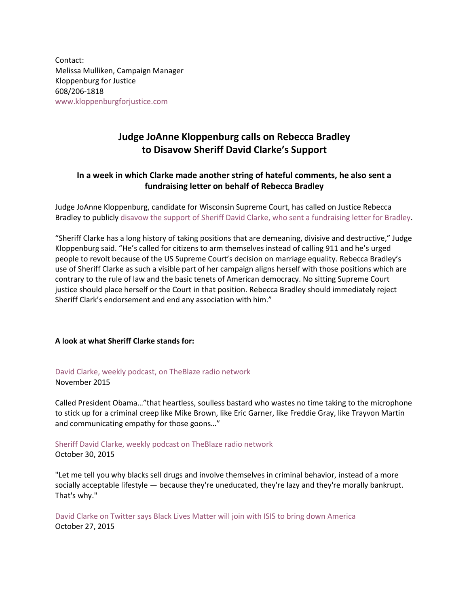Contact: Melissa Mulliken, Campaign Manager Kloppenburg for Justice 608/206-1818 [www.kloppenburgforjustice.com](http://www.kloppenburgforjustice.com/)

## **Judge JoAnne Kloppenburg calls on Rebecca Bradley to Disavow Sheriff David Clarke's Support**

## **In a week in which Clarke made another string of hateful comments, he also sent a fundraising letter on behalf of Rebecca Bradley**

Judge JoAnne Kloppenburg, candidate for Wisconsin Supreme Court, has called on Justice Rebecca Bradley to publicly [disavow the support of Sheriff David Clarke, who sent a fundraising letter for Bradley.](http://www.jsonline.com/news/statepolitics/david-clarke-helps-justice-rebecca-bradley-with-fundraising-b99611263z1-342613152.html)

"Sheriff Clarke has a long history of taking positions that are demeaning, divisive and destructive," Judge Kloppenburg said. "He's called for citizens to arm themselves instead of calling 911 and he's urged people to revolt because of the US Supreme Court's decision on marriage equality. Rebecca Bradley's use of Sheriff Clarke as such a visible part of her campaign aligns herself with those positions which are contrary to the rule of law and the basic tenets of American democracy. No sitting Supreme Court justice should place herself or the Court in that position. Rebecca Bradley should immediately reject Sheriff Clark's endorsement and end any association with him."

## **A look at what Sheriff Clarke stands for:**

[David Clarke, weekly podcast, on TheBlaze radio network](http://www.rightwingwatch.org/content/david-clarke-calls-obama-heartless-soulless-bastard-sticking-goons-freddie-gray-and-eric-gar)

November 2015

Called President Obama…"that heartless, soulless bastard who wastes no time taking to the microphone to stick up for a criminal creep like Mike Brown, like Eric Garner, like Freddie Gray, like Trayvon Martin and communicating empathy for those goons…"

## [Sheriff David Clarke, weekly podcast on TheBlaze radio network](http://www.theblaze.com/shows/david-clarke-the-peoples-sheriff/) October 30, 2015

"Let me tell you why blacks sell drugs and involve themselves in criminal behavior, instead of a more socially acceptable lifestyle — because they're uneducated, they're lazy and they're morally bankrupt. That's why."

David [Clarke on Twitter says Black Lives Matter will join with ISIS to bring down America](https://twitter.com/SheriffClarke/status/659197285172166657) October 27, 2015